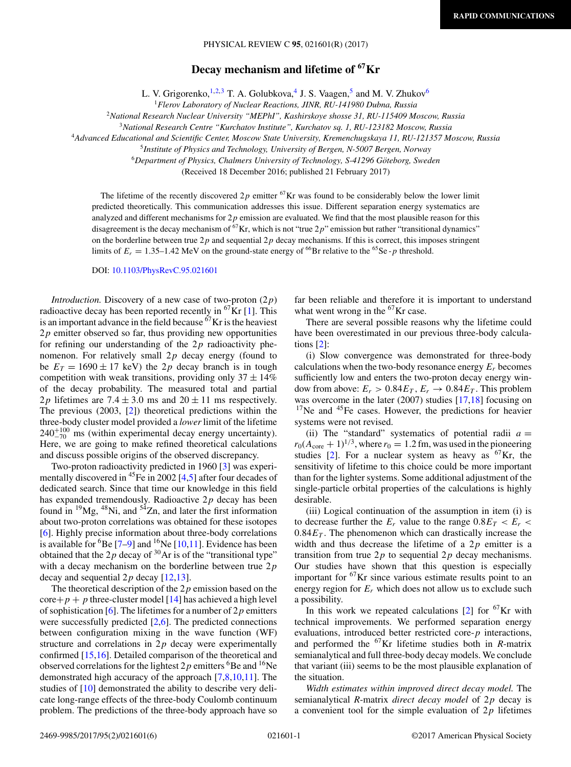## PHYSICAL REVIEW C **95**, 021601(R) (2017)

# **Decay mechanism and lifetime of 67Kr**

L. V. Grigorenko,  $^{1,2,3}$  T. A. Golubkova, <sup>4</sup> J. S. Vaagen, <sup>5</sup> and M. V. Zhukov<sup>6</sup>

<sup>1</sup>*Flerov Laboratory of Nuclear Reactions, JINR, RU-141980 Dubna, Russia*

<sup>2</sup>*National Research Nuclear University "MEPhI", Kashirskoye shosse 31, RU-115409 Moscow, Russia*

<sup>3</sup>*National Research Centre "Kurchatov Institute", Kurchatov sq. 1, RU-123182 Moscow, Russia*

<sup>4</sup>*Advanced Educational and Scientific Center, Moscow State University, Kremenchugskaya 11, RU-121357 Moscow, Russia*

<sup>6</sup>Department of Physics, Chalmers University of Technology, S-41296 Göteborg, Sweden

(Received 18 December 2016; published 21 February 2017)

The lifetime of the recently discovered  $2p$  emitter  $^{67}$ Kr was found to be considerably below the lower limit predicted theoretically. This communication addresses this issue. Different separation energy systematics are analyzed and different mechanisms for  $2p$  emission are evaluated. We find that the most plausible reason for this disagreement is the decay mechanism of <sup>67</sup>Kr, which is not "true 2p" emission but rather "transitional dynamics" on the borderline between true  $2p$  and sequential  $2p$  decay mechanisms. If this is correct, this imposes stringent limits of  $E_r = 1.35-1.42$  MeV on the ground-state energy of <sup>66</sup>Br relative to the <sup>65</sup>Se -*p* threshold.

DOI: [10.1103/PhysRevC.95.021601](https://doi.org/10.1103/PhysRevC.95.021601)

*Introduction.* Discovery of a new case of two-proton (2*p*) radioactive decay has been reported recently in  ${}^{67}$ Kr [\[1\]](#page-4-0). This is an important advance in the field because  $^{67}$ Kr is the heaviest  $2p$  emitter observed so far, thus providing new opportunities for refining our understanding of the 2*p* radioactivity phenomenon. For relatively small 2*p* decay energy (found to be  $E_T = 1690 \pm 17$  keV) the 2p decay branch is in tough competition with weak transitions, providing only  $37 \pm 14\%$ of the decay probability. The measured total and partial 2*p* lifetimes are 7.4  $\pm$  3.0 ms and 20  $\pm$  11 ms respectively. The previous (2003, [\[2\]](#page-4-0)) theoretical predictions within the three-body cluster model provided a *lower* limit of the lifetime  $240^{+100}_{-70}$  ms (within experimental decay energy uncertainty). Here, we are going to make refined theoretical calculations and discuss possible origins of the observed discrepancy.

Two-proton radioactivity predicted in 1960 [\[3\]](#page-4-0) was experi-mentally discovered in <sup>45</sup>Fe in 2002 [\[4,5\]](#page-4-0) after four decades of dedicated search. Since that time our knowledge in this field has expanded tremendously. Radioactive 2*p* decay has been found in  $^{19}Mg$ ,  $^{48}Ni$ , and  $^{54}Zn$ , and later the first information about two-proton correlations was obtained for these isotopes [\[6\]](#page-4-0). Highly precise information about three-body correlations is available for  ${}^{6}$ Be [\[7–9\]](#page-4-0) and  ${}^{16}$ Ne [\[10,11\]](#page-4-0). Evidence has been obtained that the  $2p$  decay of <sup>30</sup>Ar is of the "transitional type" with a decay mechanism on the borderline between true 2*p* decay and sequential 2*p* decay [\[12,13\]](#page-4-0).

The theoretical description of the 2*p* emission based on the  $\text{core}+p+p$  three-cluster model [\[14\]](#page-5-0) has achieved a high level of sophistication [\[6\]](#page-4-0). The lifetimes for a number of 2*p* emitters were successfully predicted  $[2,6]$ . The predicted connections between configuration mixing in the wave function (WF) structure and correlations in 2*p* decay were experimentally confirmed [\[15,16\]](#page-5-0). Detailed comparison of the theoretical and observed correlations for the lightest  $2p$  emitters <sup>6</sup>Be and <sup>16</sup>Ne demonstrated high accuracy of the approach [\[7,8,10,11\]](#page-4-0). The studies of [\[10\]](#page-4-0) demonstrated the ability to describe very delicate long-range effects of the three-body Coulomb continuum problem. The predictions of the three-body approach have so far been reliable and therefore it is important to understand what went wrong in the  ${}^{67}$ Kr case.

There are several possible reasons why the lifetime could have been overestimated in our previous three-body calculations [\[2\]](#page-4-0):

(i) Slow convergence was demonstrated for three-body calculations when the two-body resonance energy  $E_r$  becomes sufficiently low and enters the two-proton decay energy window from above:  $E_r > 0.84E_T$ ,  $E_r \rightarrow 0.84E_T$ . This problem was overcome in the later (2007) studies [\[17,18\]](#page-5-0) focusing on <sup>17</sup>Ne and <sup>45</sup>Fe cases. However, the predictions for heavier systems were not revised.

(ii) The "standard" systematics of potential radii  $a =$  $r_0(A_{\text{core}} + 1)^{1/3}$ , where  $r_0 = 1.2$  fm, was used in the pioneering studies [\[2\]](#page-4-0). For a nuclear system as heavy as  ${}^{67}$ Kr, the sensitivity of lifetime to this choice could be more important than for the lighter systems. Some additional adjustment of the single-particle orbital properties of the calculations is highly desirable.

(iii) Logical continuation of the assumption in item (i) is to decrease further the  $E_r$  value to the range  $0.8E_T < E_r <$  $0.84E_T$ . The phenomenon which can drastically increase the width and thus decrease the lifetime of a 2*p* emitter is a transition from true  $2p$  to sequential  $2p$  decay mechanisms. Our studies have shown that this question is especially important for  ${}^{67}$ Kr since various estimate results point to an energy region for  $E_r$  which does not allow us to exclude such a possibility.

In this work we repeated calculations  $[2]$  for <sup>67</sup>Kr with technical improvements. We performed separation energy evaluations, introduced better restricted core-*p* interactions, and performed the  ${}^{67}$ Kr lifetime studies both in *R*-matrix semianalytical and full three-body decay models. We conclude that variant (iii) seems to be the most plausible explanation of the situation.

*Width estimates within improved direct decay model.* The semianalytical *R*-matrix *direct decay model* of 2*p* decay is a convenient tool for the simple evaluation of 2*p* lifetimes

<sup>5</sup>*Institute of Physics and Technology, University of Bergen, N-5007 Bergen, Norway*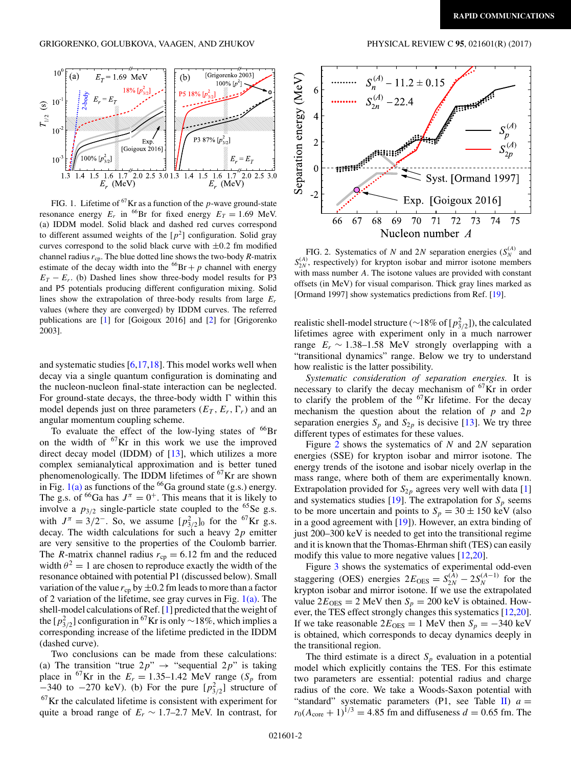<span id="page-1-0"></span>

FIG. 1. Lifetime of 67Kr as a function of the *p*-wave ground-state resonance energy  $E_r$  in <sup>66</sup>Br for fixed energy  $E_T = 1.69$  MeV. (a) IDDM model. Solid black and dashed red curves correspond to different assumed weights of the  $[p^2]$  configuration. Solid gray curves correspond to the solid black curve with <sup>±</sup>0*.*2 fm modified channel radius  $r_{\rm cp}$ . The blue dotted line shows the two-body  $R$ -matrix estimate of the decay width into the  ${}^{66}Br + p$  channel with energy  $E_T - E_r$ . (b) Dashed lines show three-body model results for P3 and P5 potentials producing different configuration mixing. Solid lines show the extrapolation of three-body results from large  $E_r$ values (where they are converged) by IDDM curves. The referred publications are [\[1\]](#page-4-0) for [Goigoux 2016] and [\[2\]](#page-4-0) for [Grigorenko 2003].

and systematic studies [\[6](#page-4-0)[,17,18\]](#page-5-0). This model works well when decay via a single quantum configuration is dominating and the nucleon-nucleon final-state interaction can be neglected. For ground-state decays, the three-body width  $\Gamma$  within this model depends just on three parameters  $(E_T, E_r, \Gamma_r)$  and an angular momentum coupling scheme.

To evaluate the effect of the low-lying states of  $^{66}Br$ on the width of  ${}^{67}$ Kr in this work we use the improved direct decay model (IDDM) of [\[13\]](#page-4-0), which utilizes a more complex semianalytical approximation and is better tuned phenomenologically. The IDDM lifetimes of  $^{67}\text{Kr}$  are shown in Fig.  $1(a)$  as functions of the <sup>66</sup>Ga ground state (g.s.) energy. The g.s. of <sup>66</sup>Ga has  $J^{\pi} = 0^{+}$ . This means that it is likely to involve a  $p_{3/2}$  single-particle state coupled to the <sup>65</sup>Se g.s. with  $J^{\pi} = 3/2^-$ . So, we assume  $[p_{3/2}^2]_0$  for the <sup>67</sup>Kr g.s. decay. The width calculations for such a heavy 2*p* emitter are very sensitive to the properties of the Coulomb barrier. The *R*-matrix channel radius  $r_{cp} = 6.12$  fm and the reduced width  $\theta^2 = 1$  are chosen to reproduce exactly the width of the resonance obtained with potential P1 (discussed below). Small variation of the value  $r_{cp}$  by  $\pm 0.2$  fm leads to more than a factor of 2 variation of the lifetime, see gray curves in Fig.  $1(a)$ . The shell-model calculations of Ref. [\[1\]](#page-4-0) predicted that the weight of the [*p*<sup>2</sup><sub>3/2</sub>] configuration in <sup>67</sup>Kr is only ∼18%, which implies a corresponding increase of the lifetime predicted in the IDDM (dashed curve).

Two conclusions can be made from these calculations: (a) The transition "true  $2p$ "  $\rightarrow$  "sequential  $2p$ " is taking place in <sup>67</sup>Kr in the  $E_r = 1.35{\text -}1.42$  MeV range (*S<sub>p</sub>* from  $-340$  to  $-270$  keV). (b) For the pure  $[p_{3/2}^2]$  structure of 67Kr the calculated lifetime is consistent with experiment for quite a broad range of  $E_r \sim 1.7{\text -}2.7$  MeV. In contrast, for



FIG. 2. Systematics of *N* and 2*N* separation energies  $(S_N^{(A)}$  and  $S_{2N}^{(A)}$ , respectively) for krypton isobar and mirror isotone members with mass number *A*. The isotone values are provided with constant offsets (in MeV) for visual comparison. Thick gray lines marked as [Ormand 1997] show systematics predictions from Ref. [\[19\]](#page-5-0).

realistic shell-model structure (∼18% of [*p*<sup>2</sup> <sup>3</sup>*/*2]), the calculated lifetimes agree with experiment only in a much narrower range  $E_r \sim 1.38 - 1.58$  MeV strongly overlapping with a "transitional dynamics" range. Below we try to understand how realistic is the latter possibility.

*Systematic consideration of separation energies.* It is necessary to clarify the decay mechanism of  ${}^{67}$ Kr in order to clarify the problem of the  $67$ Kr lifetime. For the decay mechanism the question about the relation of *p* and 2*p* separation energies  $S_p$  and  $S_{2p}$  is decisive [\[13\]](#page-4-0). We try three different types of estimates for these values.

Figure 2 shows the systematics of *N* and 2*N* separation energies (SSE) for krypton isobar and mirror isotone. The energy trends of the isotone and isobar nicely overlap in the mass range, where both of them are experimentally known. Extrapolation provided for  $S_{2p}$  agrees very well with data [\[1\]](#page-4-0) and systematics studies [\[19\]](#page-5-0). The extrapolation for  $S_p$  seems to be more uncertain and points to  $S_p = 30 \pm 150$  keV (also in a good agreement with [\[19\]](#page-5-0)). However, an extra binding of just 200–300 keV is needed to get into the transitional regime and it is known that the Thomas-Ehrman shift (TES) can easily modify this value to more negative values [\[12,](#page-4-0)[20\]](#page-5-0).

Figure [3](#page-2-0) shows the systematics of experimental odd-even staggering (OES) energies  $2E_{OES} = S_{2N}^{(A)} - 2S_{N}^{(A-1)}$  for the krypton isobar and mirror isotone. If we use the extrapolated value  $2E_{OES} = 2$  MeV then  $S_p = 200$  keV is obtained. However, the TES effect strongly changes this systematics [\[12,](#page-4-0)[20\]](#page-5-0). If we take reasonable  $2E_{OES} = 1$  MeV then  $S_p = -340$  keV is obtained, which corresponds to decay dynamics deeply in the transitional region.

The third estimate is a direct  $S_p$  evaluation in a potential model which explicitly contains the TES. For this estimate two parameters are essential: potential radius and charge radius of the core. We take a Woods-Saxon potential with "standard" systematic parameters (P1, see Table [II\)](#page-2-0)  $a =$  $r_0(A_{\text{core}} + 1)^{1/3} = 4.85$  fm and diffuseness  $d = 0.65$  fm. The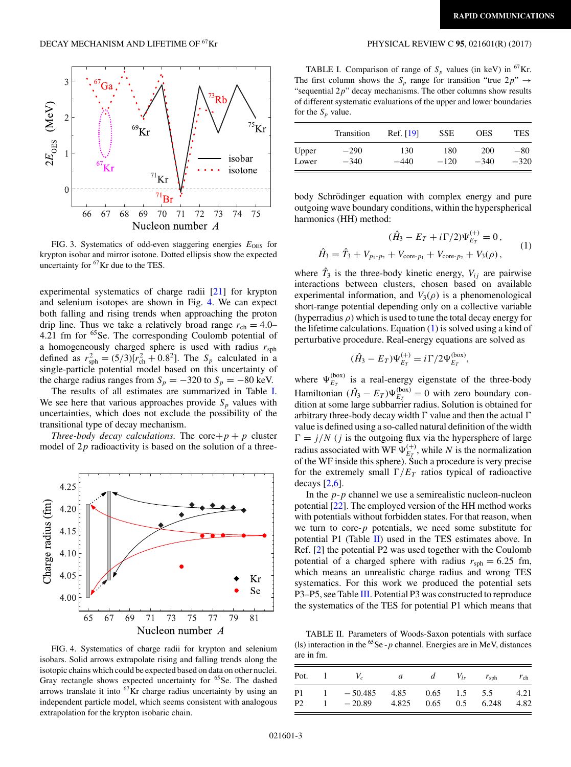<span id="page-2-0"></span>

FIG. 3. Systematics of odd-even staggering energies  $E_{\text{OES}}$  for krypton isobar and mirror isotone. Dotted ellipsis show the expected uncertainty for <sup>67</sup>Kr due to the TES.

experimental systematics of charge radii [\[21\]](#page-5-0) for krypton and selenium isotopes are shown in Fig. 4. We can expect both falling and rising trends when approaching the proton drip line. Thus we take a relatively broad range  $r_{ch} = 4.0-$ 4.21 fm for 65Se. The corresponding Coulomb potential of a homogeneously charged sphere is used with radius *r*sph defined as  $r_{\rm sph}^2 = (5/3)[r_{\rm ch}^2 + 0.8^2]$ . The  $S_p$  calculated in a single-particle potential model based on this uncertainty of the charge radius ranges from  $S_p = -320$  to  $S_p = -80$  keV.

The results of all estimates are summarized in Table I. We see here that various approaches provide  $S_p$  values with uncertainties, which does not exclude the possibility of the transitional type of decay mechanism.

*Three-body decay calculations.* The core +  $p$  +  $p$  cluster model of 2*p* radioactivity is based on the solution of a three-



FIG. 4. Systematics of charge radii for krypton and selenium isobars. Solid arrows extrapolate rising and falling trends along the isotopic chains which could be expected based on data on other nuclei. Gray rectangle shows expected uncertainty for <sup>65</sup>Se. The dashed arrows translate it into  ${}^{67}$ Kr charge radius uncertainty by using an independent particle model, which seems consistent with analogous extrapolation for the krypton isobaric chain.

TABLE I. Comparison of range of  $S_p$  values (in keV) in <sup>67</sup>Kr. The first column shows the  $S_p$  range for transition "true  $2p$ "  $\rightarrow$ "sequential 2*p*" decay mechanisms. The other columns show results of different systematic evaluations of the upper and lower boundaries for the  $S_p$  value.

|       | Transition | Ref. [19] | <b>SSE</b> | <b>OES</b> | <b>TES</b> |
|-------|------------|-----------|------------|------------|------------|
| Upper | $-290$     | 130       | 180        | 200        | $-80$      |
| Lower | $-340$     | -440      | $-120$     | $-340$     | $-320$     |

body Schrödinger equation with complex energy and pure outgoing wave boundary conditions, within the hyperspherical harmonics (HH) method:

$$
(\hat{H}_3 - E_T + i\Gamma/2)\Psi_{E_T}^{(+)} = 0,
$$
  

$$
\hat{H}_3 = \hat{T}_3 + V_{p_1 - p_2} + V_{\text{core-}p_1} + V_{\text{core-}p_2} + V_3(\rho),
$$
 (1)

where  $\hat{T}_3$  is the three-body kinetic energy,  $V_{ij}$  are pairwise interactions between clusters, chosen based on available experimental information, and  $V_3(\rho)$  is a phenomenological short-range potential depending only on a collective variable (hyperradius *ρ*) which is used to tune the total decay energy for the lifetime calculations. Equation  $(1)$  is solved using a kind of perturbative procedure. Real-energy equations are solved as

$$
(\hat{H}_3 - E_T)\Psi_{E_T}^{(+)} = i\Gamma/2\Psi_{E_T}^{(\text{box})},
$$

where  $\Psi_{E_T}^{(box)}$  is a real-energy eigenstate of the three-body Hamiltonian  $(\hat{H}_3 - E_T)\Psi_{E_T}^{(\text{box})} = 0$  with zero boundary condition at some large subbarrier radius. Solution is obtained for arbitrary three-body decay width  $\Gamma$  value and then the actual  $\Gamma$ value is defined using a so-called natural definition of the width  $\Gamma = j/N$  (*j* is the outgoing flux via the hypersphere of large radius associated with WF  $\Psi_{E_T}^{(+)}$ , while *N* is the normalization of the WF inside this sphere). Such a procedure is very precise for the extremely small  $\Gamma/E_T$  ratios typical of radioactive decays  $[2,6]$ .

In the *p*-*p* channel we use a semirealistic nucleon-nucleon potential [\[22\]](#page-5-0). The employed version of the HH method works with potentials without forbidden states. For that reason, when we turn to core-*p* potentials, we need some substitute for potential P1 (Table  $\mathbf{II}$ ) used in the TES estimates above. In Ref. [\[2\]](#page-4-0) the potential P2 was used together with the Coulomb potential of a charged sphere with radius  $r_{\rm sph} = 6.25$  fm, which means an unrealistic charge radius and wrong TES systematics. For this work we produced the potential sets P3–P5, see Table [III.](#page-3-0) Potential P3 was constructed to reproduce the systematics of the TES for potential P1 which means that

TABLE II. Parameters of Woods-Saxon potentials with surface (ls) interaction in the  ${}^{65}$ Se - *p* channel. Energies are in MeV, distances are in fm.

| Pot.           |    | V.           | $\mathfrak{a}$ | d    | $V_{ls}$ | $r_{\rm sph}$ | $r_{\rm ch}$ |
|----------------|----|--------------|----------------|------|----------|---------------|--------------|
| P <sub>1</sub> |    | $1 - 50.485$ | 4.85 0.65      |      |          | $1.5 \t 5.5$  | 4.21         |
| P2             | т. | $-20.89$     | 4.825          | 0.65 |          | $0.5$ 6.248   | 4.82         |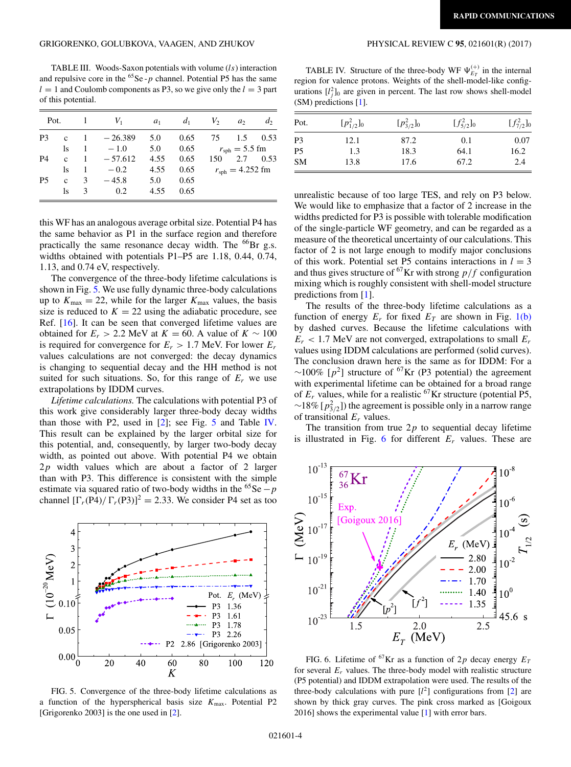<span id="page-3-0"></span>TABLE III. Woods-Saxon potentials with volume (*ls*) interaction and repulsive core in the  ${}^{65}$ Se - *p* channel. Potential P5 has the same  $l = 1$  and Coulomb components as P3, so we give only the  $l = 3$  part of this potential.

|           | Pot.           |   | $1 \qquad V_1$ | $a_1$ |                                 | $d_1$ $V_2$ | a <sub>2</sub>           | $d_2$ |
|-----------|----------------|---|----------------|-------|---------------------------------|-------------|--------------------------|-------|
| P3        |                |   | c $1 -26.389$  | 5.0   | 0.65                            |             | 75 1.5 0.53              |       |
|           | <sup>1</sup> s |   | $1 - 1.0$      |       | 5.0 0.65 $r_{\rm sph} = 5.5$ fm |             |                          |       |
| <b>P4</b> | $\mathbf{c}$   |   | $1 - 57.612$   | 4.55  | 0.65                            |             | 150 2.7 0.53             |       |
|           | <sup>1</sup> s |   | $1 - 0.2$      | 4.55  | 0.65                            |             | $r_{\rm sph} = 4.252$ fm |       |
| <b>P5</b> | $\mathbf{c}$   |   | $3 - 45.8$     | 5.0   | 0.65                            |             |                          |       |
|           | ls             | 3 | 0.2            | 4.55  | 0.65                            |             |                          |       |
|           |                |   |                |       |                                 |             |                          |       |

this WF has an analogous average orbital size. Potential P4 has the same behavior as P1 in the surface region and therefore practically the same resonance decay width. The <sup>66</sup>Br g.s. widths obtained with potentials P1–P5 are 1.18, 0.44, 0.74, 1.13, and 0.74 eV, respectively.

The convergence of the three-body lifetime calculations is shown in Fig. 5. We use fully dynamic three-body calculations up to  $K_{\text{max}} = 22$ , while for the larger  $K_{\text{max}}$  values, the basis size is reduced to  $K = 22$  using the adiabatic procedure, see Ref. [\[16\]](#page-5-0). It can be seen that converged lifetime values are obtained for  $E_r > 2.2$  MeV at  $K = 60$ . A value of  $K \sim 100$ is required for convergence for  $E_r > 1.7$  MeV. For lower  $E_r$ values calculations are not converged: the decay dynamics is changing to sequential decay and the HH method is not suited for such situations. So, for this range of  $E_r$  we use extrapolations by IDDM curves.

*Lifetime calculations.* The calculations with potential P3 of this work give considerably larger three-body decay widths than those with P2, used in  $[2]$ ; see Fig. 5 and Table IV. This result can be explained by the larger orbital size for this potential, and, consequently, by larger two-body decay width, as pointed out above. With potential P4 we obtain 2*p* width values which are about a factor of 2 larger than with P3. This difference is consistent with the simple estimate via squared ratio of two-body widths in the <sup>65</sup>Se  $-p$ channel  $[\Gamma_r(P4)/\Gamma_r(P3)]^2 = 2.33$ . We consider P4 set as too



FIG. 5. Convergence of the three-body lifetime calculations as a function of the hyperspherical basis size *K*max. Potential P2 [Grigorenko 2003] is the one used in [\[2\]](#page-4-0).

TABLE IV. Structure of the three-body WF  $\Psi_{E_T}^{(+)}$  in the internal region for valence protons. Weights of the shell-model-like configurations  $[l_i^2]_0$  are given in percent. The last row shows shell-model (SM) predictions [\[1\]](#page-4-0).

| Pot.           | $[p_{1/2}^2]_0$ | $[p_{3/2}^2]_0$ | $[f_{5/2}^2]_0$ | $[f_{7/2}^2]_0$ |
|----------------|-----------------|-----------------|-----------------|-----------------|
| P <sub>3</sub> | 12.1            | 87.2            | 0.1             | 0.07            |
| P <sub>5</sub> | 1.3             | 18.3            | 64.1            | 16.2            |
| <b>SM</b>      | 13.8            | 17.6            | 67.2            | 2.4             |

unrealistic because of too large TES, and rely on P3 below. We would like to emphasize that a factor of 2 increase in the widths predicted for P3 is possible with tolerable modification of the single-particle WF geometry, and can be regarded as a measure of the theoretical uncertainty of our calculations. This factor of 2 is not large enough to modify major conclusions of this work. Potential set P5 contains interactions in  $l = 3$ and thus gives structure of <sup>67</sup>Kr with strong  $p/f$  configuration mixing which is roughly consistent with shell-model structure predictions from [\[1\]](#page-4-0).

The results of the three-body lifetime calculations as a function of energy  $E_r$  for fixed  $E_T$  are shown in Fig. [1\(b\)](#page-1-0) by dashed curves. Because the lifetime calculations with  $E_r$  < 1.7 MeV are not converged, extrapolations to small  $E_r$ values using IDDM calculations are performed (solid curves). The conclusion drawn here is the same as for IDDM: For a  $\sim$ 100% [ $p^2$ ] structure of <sup>67</sup>Kr (P3 potential) the agreement with experimental lifetime can be obtained for a broad range of  $E_r$  values, while for a realistic <sup>67</sup>Kr structure (potential P5, ∼18% [ $p_{3/2}^2$ ]) the agreement is possible only in a narrow range of transitional *Er* values.

The transition from true  $2p$  to sequential decay lifetime is illustrated in Fig. 6 for different *Er* values. These are



FIG. 6. Lifetime of <sup>67</sup>Kr as a function of 2p decay energy  $E_T$ for several  $E_r$  values. The three-body model with realistic structure (P5 potential) and IDDM extrapolation were used. The results of the three-body calculations with pure  $[l^2]$  configurations from  $[2]$  are shown by thick gray curves. The pink cross marked as [Goigoux 2016] shows the experimental value [\[1\]](#page-4-0) with error bars.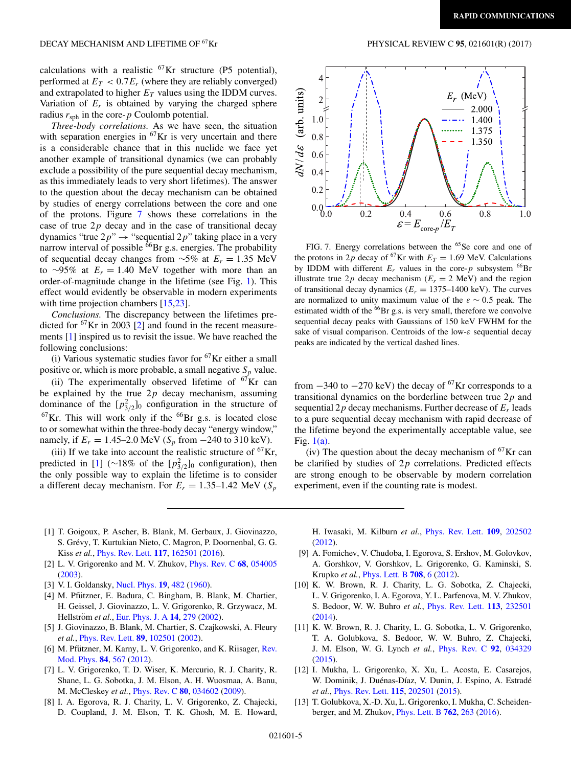<span id="page-4-0"></span>calculations with a realistic  ${}^{67}$ Kr structure (P5 potential), performed at  $E_T < 0.7E_r$  (where they are reliably converged) and extrapolated to higher  $E_T$  values using the IDDM curves. Variation of  $E_r$  is obtained by varying the charged sphere radius  $r<sub>sph</sub>$  in the core- $p$  Coulomb potential.

*Three-body correlations.* As we have seen, the situation with separation energies in  ${}^{67}$ Kr is very uncertain and there is a considerable chance that in this nuclide we face yet another example of transitional dynamics (we can probably exclude a possibility of the pure sequential decay mechanism, as this immediately leads to very short lifetimes). The answer to the question about the decay mechanism can be obtained by studies of energy correlations between the core and one of the protons. Figure 7 shows these correlations in the case of true 2*p* decay and in the case of transitional decay dynamics "true  $2p$ "  $\rightarrow$  "sequential  $2p$ " taking place in a very narrow interval of possible  $^{66}$ Br g.s. energies. The probability of sequential decay changes from <sup>∼</sup>5% at *Er* <sup>=</sup> <sup>1</sup>*.*35 MeV to ∼95% at  $E_r = 1.40$  MeV together with more than an order-of-magnitude change in the lifetime (see Fig. [1\)](#page-1-0). This effect would evidently be observable in modern experiments with time projection chambers [\[15,23\]](#page-5-0).

*Conclusions.* The discrepancy between the lifetimes predicted for  ${}^{67}$ Kr in 2003 [2] and found in the recent measurements [1] inspired us to revisit the issue. We have reached the following conclusions:

(i) Various systematic studies favor for  ${}^{67}$ Kr either a small positive or, which is more probable, a small negative  $S_p$  value.

(ii) The experimentally observed lifetime of  ${}^{67}$ Kr can be explained by the true 2*p* decay mechanism, assuming dominance of the  $[p_{3/2}^2]_0$  configuration in the structure of  $67$ Kr. This will work only if the  $66$ Br g.s. is located close to or somewhat within the three-body decay "energy window," namely, if  $E_r = 1.45-2.0$  MeV ( $S_p$  from −240 to 310 keV).

(iii) If we take into account the realistic structure of  ${}^{67}$ Kr, predicted in [1] (∼18% of the  $[p_{3/2}^2]_0$  configuration), then the only possible way to explain the lifetime is to consider a different decay mechanism. For  $E_r = 1.35{\text -}1.42$  MeV ( $S_p$ )



FIG. 7. Energy correlations between the <sup>65</sup>Se core and one of the protons in 2*p* decay of <sup>67</sup>Kr with  $E_T = 1.69$  MeV. Calculations by IDDM with different  $E_r$  values in the core- $p$  subsystem <sup>66</sup>Br illustrate true  $2p$  decay mechanism ( $E_r = 2$  MeV) and the region of transitional decay dynamics  $(E_r = 1375-1400 \text{ keV})$ . The curves are normalized to unity maximum value of the *<sup>ε</sup>* <sup>∼</sup> <sup>0</sup>*.*5 peak. The estimated width of the <sup>66</sup>Br g.s. is very small, therefore we convolve sequential decay peaks with Gaussians of 150 keV FWHM for the sake of visual comparison. Centroids of the low-*ε* sequential decay peaks are indicated by the vertical dashed lines.

from  $-340$  to  $-270$  keV) the decay of <sup>67</sup>Kr corresponds to a transitional dynamics on the borderline between true 2*p* and sequential 2*p* decay mechanisms. Further decrease of *Er* leads to a pure sequential decay mechanism with rapid decrease of the lifetime beyond the experimentally acceptable value, see Fig. [1\(a\).](#page-1-0)

(iv) The question about the decay mechanism of  ${}^{67}$ Kr can be clarified by studies of 2*p* correlations. Predicted effects are strong enough to be observable by modern correlation experiment, even if the counting rate is modest.

- [1] T. Goigoux, P. Ascher, B. Blank, M. Gerbaux, J. Giovinazzo, S. Grévy, T. Kurtukian Nieto, C. Magron, P. Doornenbal, G. G. Kiss *et al.*, [Phys. Rev. Lett.](https://doi.org/10.1103/PhysRevLett.117.162501) **[117](https://doi.org/10.1103/PhysRevLett.117.162501)**, [162501](https://doi.org/10.1103/PhysRevLett.117.162501) [\(2016\)](https://doi.org/10.1103/PhysRevLett.117.162501).
- [2] L. V. Grigorenko and M. V. Zhukov, [Phys. Rev. C](https://doi.org/10.1103/PhysRevC.68.054005) **[68](https://doi.org/10.1103/PhysRevC.68.054005)**, [054005](https://doi.org/10.1103/PhysRevC.68.054005) [\(2003\)](https://doi.org/10.1103/PhysRevC.68.054005).
- [3] V. I. Goldansky, [Nucl. Phys.](https://doi.org/10.1016/0029-5582(60)90258-3) **[19](https://doi.org/10.1016/0029-5582(60)90258-3)**, [482](https://doi.org/10.1016/0029-5582(60)90258-3) [\(1960\)](https://doi.org/10.1016/0029-5582(60)90258-3).
- [4] M. Pfützner, E. Badura, C. Bingham, B. Blank, M. Chartier, H. Geissel, J. Giovinazzo, L. V. Grigorenko, R. Grzywacz, M. Hellström et al., [Eur. Phys. J. A](https://doi.org/10.1140/epja/i2002-10033-9) **[14](https://doi.org/10.1140/epja/i2002-10033-9)**, [279](https://doi.org/10.1140/epja/i2002-10033-9) [\(2002\)](https://doi.org/10.1140/epja/i2002-10033-9).
- [5] J. Giovinazzo, B. Blank, M. Chartier, S. Czajkowski, A. Fleury *et al.*, [Phys. Rev. Lett.](https://doi.org/10.1103/PhysRevLett.89.102501) **[89](https://doi.org/10.1103/PhysRevLett.89.102501)**, [102501](https://doi.org/10.1103/PhysRevLett.89.102501) [\(2002\)](https://doi.org/10.1103/PhysRevLett.89.102501).
- [6] M. Pfützner, M. Karny, L. V. Grigorenko, and K. Riisager, Rev. Mod. Phys. **[84](https://doi.org/10.1103/RevModPhys.84.567)**, [567](https://doi.org/10.1103/RevModPhys.84.567) [\(2012\)](https://doi.org/10.1103/RevModPhys.84.567).
- [7] L. V. Grigorenko, T. D. Wiser, K. Mercurio, R. J. Charity, R. Shane, L. G. Sobotka, J. M. Elson, A. H. Wuosmaa, A. Banu, M. McCleskey *et al.*, [Phys. Rev. C](https://doi.org/10.1103/PhysRevC.80.034602) **[80](https://doi.org/10.1103/PhysRevC.80.034602)**, [034602](https://doi.org/10.1103/PhysRevC.80.034602) [\(2009\)](https://doi.org/10.1103/PhysRevC.80.034602).
- [8] I. A. Egorova, R. J. Charity, L. V. Grigorenko, Z. Chajecki, D. Coupland, J. M. Elson, T. K. Ghosh, M. E. Howard,

H. Iwasaki, M. Kilburn *et al.*, [Phys. Rev. Lett.](https://doi.org/10.1103/PhysRevLett.109.202502) **[109](https://doi.org/10.1103/PhysRevLett.109.202502)**, [202502](https://doi.org/10.1103/PhysRevLett.109.202502) [\(2012\)](https://doi.org/10.1103/PhysRevLett.109.202502).

- [9] A. Fomichev, V. Chudoba, I. Egorova, S. Ershov, M. Golovkov, A. Gorshkov, V. Gorshkov, L. Grigorenko, G. Kaminski, S. Krupko *et al.*, [Phys. Lett. B](https://doi.org/10.1016/j.physletb.2012.01.004) **[708](https://doi.org/10.1016/j.physletb.2012.01.004)**, [6](https://doi.org/10.1016/j.physletb.2012.01.004) [\(2012\)](https://doi.org/10.1016/j.physletb.2012.01.004).
- [10] K. W. Brown, R. J. Charity, L. G. Sobotka, Z. Chajecki, L. V. Grigorenko, I. A. Egorova, Y. L. Parfenova, M. V. Zhukov, S. Bedoor, W. W. Buhro *et al.*, [Phys. Rev. Lett.](https://doi.org/10.1103/PhysRevLett.113.232501) **[113](https://doi.org/10.1103/PhysRevLett.113.232501)**, [232501](https://doi.org/10.1103/PhysRevLett.113.232501) [\(2014\)](https://doi.org/10.1103/PhysRevLett.113.232501).
- [11] K. W. Brown, R. J. Charity, L. G. Sobotka, L. V. Grigorenko, T. A. Golubkova, S. Bedoor, W. W. Buhro, Z. Chajecki, J. M. Elson, W. G. Lynch *et al.*, [Phys. Rev. C](https://doi.org/10.1103/PhysRevC.92.034329) **[92](https://doi.org/10.1103/PhysRevC.92.034329)**, [034329](https://doi.org/10.1103/PhysRevC.92.034329) [\(2015\)](https://doi.org/10.1103/PhysRevC.92.034329).
- [12] I. Mukha, L. Grigorenko, X. Xu, L. Acosta, E. Casarejos, W. Dominik, J. Duénas-Díaz, V. Dunin, J. Espino, A. Estradé *et al.*, [Phys. Rev. Lett.](https://doi.org/10.1103/PhysRevLett.115.202501) **[115](https://doi.org/10.1103/PhysRevLett.115.202501)**, [202501](https://doi.org/10.1103/PhysRevLett.115.202501) [\(2015\)](https://doi.org/10.1103/PhysRevLett.115.202501).
- [13] T. Golubkova, X.-D. Xu, L. Grigorenko, I. Mukha, C. Scheidenberger, and M. Zhukov, [Phys. Lett. B](https://doi.org/10.1016/j.physletb.2016.09.034) **[762](https://doi.org/10.1016/j.physletb.2016.09.034)**, [263](https://doi.org/10.1016/j.physletb.2016.09.034) [\(2016\)](https://doi.org/10.1016/j.physletb.2016.09.034).